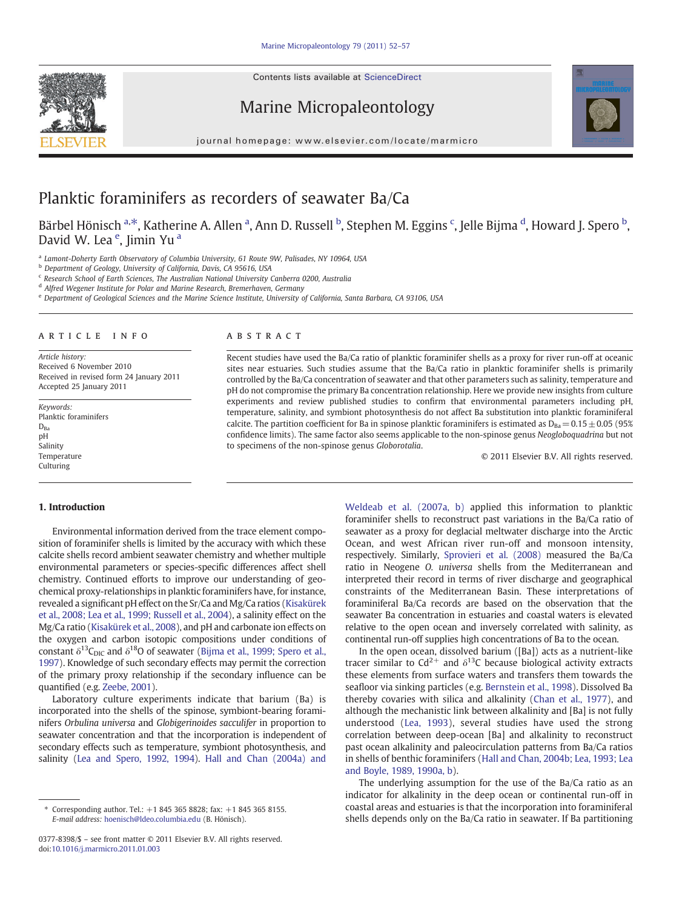Contents lists available at ScienceDirect







journal homepage: www.elsevier.com/locate/marmicro

# Planktic foraminifers as recorders of seawater Ba/Ca

Bärbel Hönisch <sup>a,\*</sup>, Katherine A. Allen <sup>a</sup>, Ann D. Russell <sup>b</sup>, Stephen M. Eggins <sup>c</sup>, Jelle Bijma <sup>d</sup>, Howard J. Spero <sup>b</sup>, David W. Lea<sup>e</sup>, Jimin Yu<sup>a</sup>

a Lamont-Doherty Earth Observatory of Columbia University, 61 Route 9W, Palisades, NY 10964, USA

<sup>b</sup> Department of Geology, University of California, Davis, CA 95616, USA

<sup>c</sup> Research School of Earth Sciences, The Australian National University Canberra 0200, Australia

<sup>d</sup> Alfred Wegener Institute for Polar and Marine Research, Bremerhaven, Germany

<sup>e</sup> Department of Geological Sciences and the Marine Science Institute, University of California, Santa Barbara, CA 93106, USA

#### article info abstract

Article history: Received 6 November 2010 Received in revised form 24 January 2011 Accepted 25 January 2011

Keywords: Planktic foraminifers  $D_{Ba}$ pH Salinity **Temperature** Culturing

Recent studies have used the Ba/Ca ratio of planktic foraminifer shells as a proxy for river run-off at oceanic sites near estuaries. Such studies assume that the Ba/Ca ratio in planktic foraminifer shells is primarily controlled by the Ba/Ca concentration of seawater and that other parameters such as salinity, temperature and pH do not compromise the primary Ba concentration relationship. Here we provide new insights from culture experiments and review published studies to confirm that environmental parameters including pH, temperature, salinity, and symbiont photosynthesis do not affect Ba substitution into planktic foraminiferal calcite. The partition coefficient for Ba in spinose planktic foraminifers is estimated as  $D_{Ba} = 0.15 \pm 0.05$  (95%) confidence limits). The same factor also seems applicable to the non-spinose genus Neogloboquadrina but not to specimens of the non-spinose genus Globorotalia.

© 2011 Elsevier B.V. All rights reserved.

### 1. Introduction

Environmental information derived from the trace element composition of foraminifer shells is limited by the accuracy with which these calcite shells record ambient seawater chemistry and whether multiple environmental parameters or species-specific differences affect shell chemistry. Continued efforts to improve our understanding of geochemical proxy-relationships in planktic foraminifers have, for instance, revealed a significant pH effect on the Sr/Ca and Mg/Ca ratios ([Kisakürek](#page-5-0) [et al., 2008; Lea et al., 1999; Russell et al., 2004](#page-5-0)), a salinity effect on the Mg/Ca ratio ([Kisakürek et al., 2008\)](#page-5-0), and pH and carbonate ion effects on the oxygen and carbon isotopic compositions under conditions of constant  $\delta^{13}C_{\text{DIC}}$  and  $\delta^{18}O$  of seawater [\(Bijma et al., 1999; Spero et al.,](#page-5-0) [1997\)](#page-5-0). Knowledge of such secondary effects may permit the correction of the primary proxy relationship if the secondary influence can be quantified (e.g. [Zeebe, 2001](#page-5-0)).

Laboratory culture experiments indicate that barium (Ba) is incorporated into the shells of the spinose, symbiont-bearing foraminifers Orbulina universa and Globigerinoides sacculifer in proportion to seawater concentration and that the incorporation is independent of secondary effects such as temperature, symbiont photosynthesis, and salinity [\(Lea and Spero, 1992, 1994\)](#page-5-0). [Hall and Chan \(2004a\) and](#page-5-0)

[Weldeab et al. \(2007a, b\)](#page-5-0) applied this information to planktic foraminifer shells to reconstruct past variations in the Ba/Ca ratio of seawater as a proxy for deglacial meltwater discharge into the Arctic Ocean, and west African river run-off and monsoon intensity, respectively. Similarly, [Sprovieri et al. \(2008\)](#page-5-0) measured the Ba/Ca ratio in Neogene O. universa shells from the Mediterranean and interpreted their record in terms of river discharge and geographical constraints of the Mediterranean Basin. These interpretations of foraminiferal Ba/Ca records are based on the observation that the seawater Ba concentration in estuaries and coastal waters is elevated relative to the open ocean and inversely correlated with salinity, as continental run-off supplies high concentrations of Ba to the ocean.

In the open ocean, dissolved barium ([Ba]) acts as a nutrient-like tracer similar to Cd<sup>2+</sup> and  $\delta$ <sup>13</sup>C because biological activity extracts these elements from surface waters and transfers them towards the seafloor via sinking particles (e.g. [Bernstein et al., 1998\)](#page-5-0). Dissolved Ba thereby covaries with silica and alkalinity [\(Chan et al., 1977](#page-5-0)), and although the mechanistic link between alkalinity and [Ba] is not fully understood [\(Lea, 1993\)](#page-5-0), several studies have used the strong correlation between deep-ocean [Ba] and alkalinity to reconstruct past ocean alkalinity and paleocirculation patterns from Ba/Ca ratios in shells of benthic foraminifers ([Hall and Chan, 2004b; Lea, 1993; Lea](#page-5-0) [and Boyle, 1989, 1990a, b](#page-5-0)).

The underlying assumption for the use of the Ba/Ca ratio as an indicator for alkalinity in the deep ocean or continental run-off in coastal areas and estuaries is that the incorporation into foraminiferal shells depends only on the Ba/Ca ratio in seawater. If Ba partitioning

<sup>⁎</sup> Corresponding author. Tel.: +1 845 365 8828; fax: +1 845 365 8155. E-mail address: [hoenisch@ldeo.columbia.edu](mailto:hoenisch@ldeo.columbia.edu) (B. Hönisch).

<sup>0377-8398/\$</sup> – see front matter © 2011 Elsevier B.V. All rights reserved. doi[:10.1016/j.marmicro.2011.01.003](http://dx.doi.org/10.1016/j.marmicro.2011.01.003)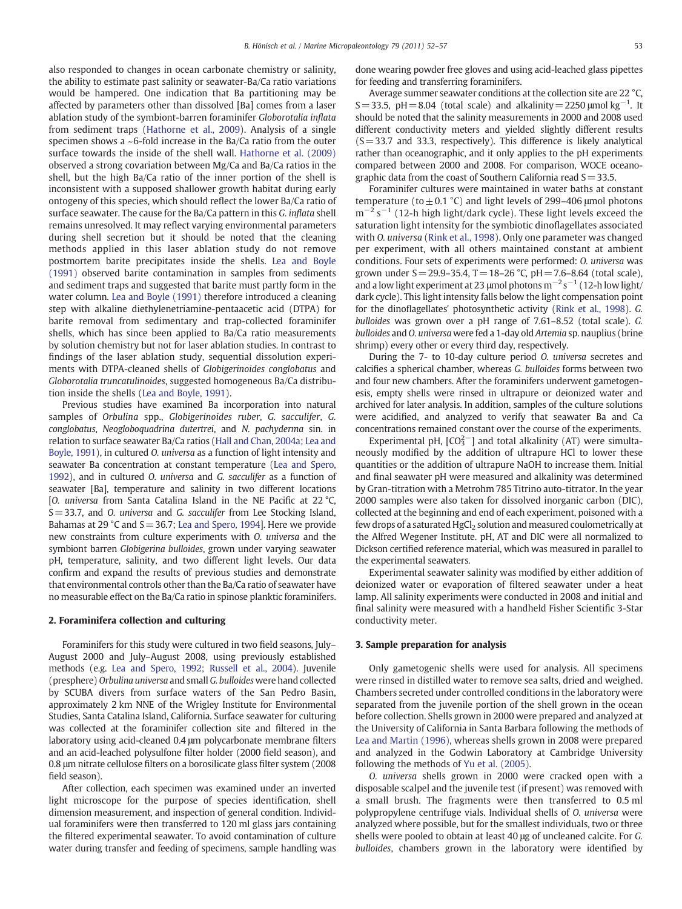also responded to changes in ocean carbonate chemistry or salinity, the ability to estimate past salinity or seawater-Ba/Ca ratio variations would be hampered. One indication that Ba partitioning may be affected by parameters other than dissolved [Ba] comes from a laser ablation study of the symbiont-barren foraminifer Globorotalia inflata from sediment traps ([Hathorne et al., 2009\)](#page-5-0). Analysis of a single specimen shows a ~6-fold increase in the Ba/Ca ratio from the outer surface towards the inside of the shell wall. [Hathorne et al. \(2009\)](#page-5-0) observed a strong covariation between Mg/Ca and Ba/Ca ratios in the shell, but the high Ba/Ca ratio of the inner portion of the shell is inconsistent with a supposed shallower growth habitat during early ontogeny of this species, which should reflect the lower Ba/Ca ratio of surface seawater. The cause for the Ba/Ca pattern in this G. inflata shell remains unresolved. It may reflect varying environmental parameters during shell secretion but it should be noted that the cleaning methods applied in this laser ablation study do not remove postmortem barite precipitates inside the shells. [Lea and Boyle](#page-5-0) [\(1991\)](#page-5-0) observed barite contamination in samples from sediments and sediment traps and suggested that barite must partly form in the water column. [Lea and Boyle \(1991\)](#page-5-0) therefore introduced a cleaning step with alkaline diethylenetriamine-pentaacetic acid (DTPA) for barite removal from sedimentary and trap-collected foraminifer shells, which has since been applied to Ba/Ca ratio measurements by solution chemistry but not for laser ablation studies. In contrast to findings of the laser ablation study, sequential dissolution experiments with DTPA-cleaned shells of Globigerinoides conglobatus and Globorotalia truncatulinoides, suggested homogeneous Ba/Ca distribution inside the shells [\(Lea and Boyle, 1991](#page-5-0)).

Previous studies have examined Ba incorporation into natural samples of Orbulina spp., Globigerinoides ruber, G. sacculifer, G. conglobatus, Neogloboquadrina dutertrei, and N. pachyderma sin. in relation to surface seawater Ba/Ca ratios [\(Hall and Chan, 2004a; Lea and](#page-5-0) [Boyle, 1991\)](#page-5-0), in cultured O. universa as a function of light intensity and seawater Ba concentration at constant temperature [\(Lea and Spero,](#page-5-0) [1992](#page-5-0)), and in cultured O. universa and G. sacculifer as a function of seawater [Ba], temperature and salinity in two different locations [O. universa from Santa Catalina Island in the NE Pacific at 22 °C, S=33.7, and O. universa and G. sacculifer from Lee Stocking Island, Bahamas at 29 °C and  $S=36.7$ ; [Lea and Spero, 1994](#page-5-0)]. Here we provide new constraints from culture experiments with O. universa and the symbiont barren Globigerina bulloides, grown under varying seawater pH, temperature, salinity, and two different light levels. Our data confirm and expand the results of previous studies and demonstrate that environmental controls other than the Ba/Ca ratio of seawater have no measurable effect on the Ba/Ca ratio in spinose planktic foraminifers.

#### 2. Foraminifera collection and culturing

Foraminifers for this study were cultured in two field seasons, July– August 2000 and July–August 2008, using previously established methods (e.g. [Lea and Spero, 1992; Russell et al., 2004\)](#page-5-0). Juvenile (presphere) Orbulina universa and small G. bulloides were hand collected by SCUBA divers from surface waters of the San Pedro Basin, approximately 2 km NNE of the Wrigley Institute for Environmental Studies, Santa Catalina Island, California. Surface seawater for culturing was collected at the foraminifer collection site and filtered in the laboratory using acid-cleaned 0.4 μm polycarbonate membrane filters and an acid-leached polysulfone filter holder (2000 field season), and 0.8 μm nitrate cellulose filters on a borosilicate glass filter system (2008 field season).

After collection, each specimen was examined under an inverted light microscope for the purpose of species identification, shell dimension measurement, and inspection of general condition. Individual foraminifers were then transferred to 120 ml glass jars containing the filtered experimental seawater. To avoid contamination of culture water during transfer and feeding of specimens, sample handling was done wearing powder free gloves and using acid-leached glass pipettes for feeding and transferring foraminifers.

Average summer seawater conditions at the collection site are 22 °C, S = 33.5, pH = 8.04 (total scale) and alkalinity =  $2250 \mu$ mol kg<sup>-1</sup>. It should be noted that the salinity measurements in 2000 and 2008 used different conductivity meters and yielded slightly different results  $(S=33.7$  and 33.3, respectively). This difference is likely analytical rather than oceanographic, and it only applies to the pH experiments compared between 2000 and 2008. For comparison, WOCE oceanographic data from the coast of Southern California read  $S=33.5$ .

Foraminifer cultures were maintained in water baths at constant temperature (to  $\pm$  0.1 °C) and light levels of 299–406 μmol photons  $m^{-2}$  s<sup>-1</sup> (12-h high light/dark cycle). These light levels exceed the saturation light intensity for the symbiotic dinoflagellates associated with O. universa [\(Rink et al., 1998](#page-5-0)). Only one parameter was changed per experiment, with all others maintained constant at ambient conditions. Four sets of experiments were performed: O. universa was grown under  $S = 29.9 - 35.4$ ,  $T = 18 - 26$  °C,  $pH = 7.6 - 8.64$  (total scale), and a low light experiment at 23 µmol photons  $m^{-2} s^{-1}$  (12-h low light/ dark cycle). This light intensity falls below the light compensation point for the dinoflagellates' photosynthetic activity ([Rink et al., 1998](#page-5-0)). G. bulloides was grown over a pH range of 7.61–8.52 (total scale). G. bulloides and O. universa were fed a 1-day old Artemia sp. nauplius (brine shrimp) every other or every third day, respectively.

During the 7- to 10-day culture period O. universa secretes and calcifies a spherical chamber, whereas G. bulloides forms between two and four new chambers. After the foraminifers underwent gametogenesis, empty shells were rinsed in ultrapure or deionized water and archived for later analysis. In addition, samples of the culture solutions were acidified, and analyzed to verify that seawater Ba and Ca concentrations remained constant over the course of the experiments.

Experimental pH,  $[CO<sub>3</sub><sup>2</sup>-]$  and total alkalinity (AT) were simultaneously modified by the addition of ultrapure HCl to lower these quantities or the addition of ultrapure NaOH to increase them. Initial and final seawater pH were measured and alkalinity was determined by Gran-titration with a Metrohm 785 Titrino auto-titrator. In the year 2000 samples were also taken for dissolved inorganic carbon (DIC), collected at the beginning and end of each experiment, poisoned with a few drops of a saturated  $HgCl<sub>2</sub>$  solution and measured coulometrically at the Alfred Wegener Institute. pH, AT and DIC were all normalized to Dickson certified reference material, which was measured in parallel to the experimental seawaters.

Experimental seawater salinity was modified by either addition of deionized water or evaporation of filtered seawater under a heat lamp. All salinity experiments were conducted in 2008 and initial and final salinity were measured with a handheld Fisher Scientific 3-Star conductivity meter.

#### 3. Sample preparation for analysis

Only gametogenic shells were used for analysis. All specimens were rinsed in distilled water to remove sea salts, dried and weighed. Chambers secreted under controlled conditions in the laboratory were separated from the juvenile portion of the shell grown in the ocean before collection. Shells grown in 2000 were prepared and analyzed at the University of California in Santa Barbara following the methods of [Lea and Martin \(1996\),](#page-5-0) whereas shells grown in 2008 were prepared and analyzed in the Godwin Laboratory at Cambridge University following the methods of [Yu et al. \(2005\)](#page-5-0).

O. universa shells grown in 2000 were cracked open with a disposable scalpel and the juvenile test (if present) was removed with a small brush. The fragments were then transferred to 0.5 ml polypropylene centrifuge vials. Individual shells of O. universa were analyzed where possible, but for the smallest individuals, two or three shells were pooled to obtain at least 40 μg of uncleaned calcite. For G. bulloides, chambers grown in the laboratory were identified by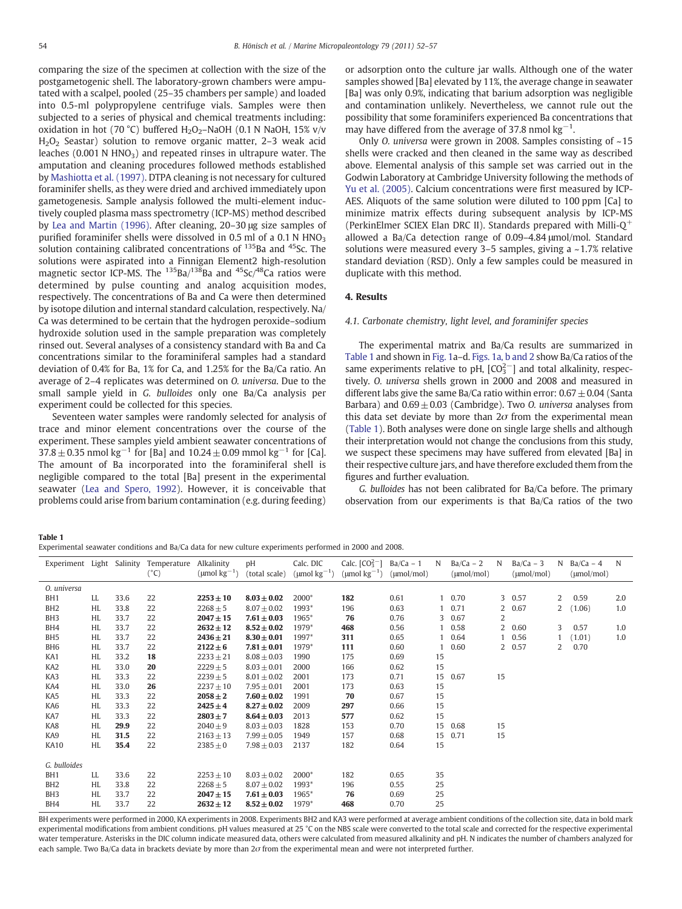comparing the size of the specimen at collection with the size of the postgametogenic shell. The laboratory-grown chambers were amputated with a scalpel, pooled (25–35 chambers per sample) and loaded into 0.5-ml polypropylene centrifuge vials. Samples were then subjected to a series of physical and chemical treatments including: oxidation in hot (70 °C) buffered  $H_2O_2$ -NaOH (0.1 N NaOH, 15% v/v H2O2 Seastar) solution to remove organic matter, 2–3 weak acid leaches  $(0.001 \text{ N HNO}_3)$  and repeated rinses in ultrapure water. The amputation and cleaning procedures followed methods established by [Mashiotta et al. \(1997\)](#page-5-0). DTPA cleaning is not necessary for cultured foraminifer shells, as they were dried and archived immediately upon gametogenesis. Sample analysis followed the multi-element inductively coupled plasma mass spectrometry (ICP-MS) method described by [Lea and Martin \(1996\).](#page-5-0) After cleaning, 20–30 μg size samples of purified foraminifer shells were dissolved in 0.5 ml of a 0.1 N  $HNO<sub>3</sub>$ solution containing calibrated concentrations of <sup>135</sup>Ba and <sup>45</sup>Sc. The solutions were aspirated into a Finnigan Element2 high-resolution magnetic sector ICP-MS. The  $^{135}$ Ba/ $^{138}$ Ba and  $^{45}$ Sc/ $^{48}$ Ca ratios were determined by pulse counting and analog acquisition modes, respectively. The concentrations of Ba and Ca were then determined by isotope dilution and internal standard calculation, respectively. Na/ Ca was determined to be certain that the hydrogen peroxide–sodium hydroxide solution used in the sample preparation was completely rinsed out. Several analyses of a consistency standard with Ba and Ca concentrations similar to the foraminiferal samples had a standard deviation of 0.4% for Ba, 1% for Ca, and 1.25% for the Ba/Ca ratio. An average of 2–4 replicates was determined on O. universa. Due to the small sample yield in G. bulloides only one Ba/Ca analysis per experiment could be collected for this species.

Seventeen water samples were randomly selected for analysis of trace and minor element concentrations over the course of the experiment. These samples yield ambient seawater concentrations of  $37.8 \pm 0.35$  nmol kg<sup>-1</sup> for [Ba] and  $10.24 \pm 0.09$  mmol kg<sup>-1</sup> for [Ca]. The amount of Ba incorporated into the foraminiferal shell is negligible compared to the total [Ba] present in the experimental seawater [\(Lea and Spero, 1992](#page-5-0)). However, it is conceivable that problems could arise from barium contamination (e.g. during feeding)

or adsorption onto the culture jar walls. Although one of the water samples showed [Ba] elevated by 11%, the average change in seawater [Ba] was only 0.9%, indicating that barium adsorption was negligible and contamination unlikely. Nevertheless, we cannot rule out the possibility that some foraminifers experienced Ba concentrations that may have differed from the average of 37.8 nmol  $kg^{-1}$ .

Only O. universa were grown in 2008. Samples consisting of ~15 shells were cracked and then cleaned in the same way as described above. Elemental analysis of this sample set was carried out in the Godwin Laboratory at Cambridge University following the methods of [Yu et al. \(2005\).](#page-5-0) Calcium concentrations were first measured by ICP-AES. Aliquots of the same solution were diluted to 100 ppm [Ca] to minimize matrix effects during subsequent analysis by ICP-MS (PerkinElmer SCIEX Elan DRC II). Standards prepared with Milli- $Q^+$ allowed a Ba/Ca detection range of 0.09–4.84 μmol/mol. Standard solutions were measured every 3–5 samples, giving a ~1.7% relative standard deviation (RSD). Only a few samples could be measured in duplicate with this method.

# 4. Results

## 4.1. Carbonate chemistry, light level, and foraminifer species

The experimental matrix and Ba/Ca results are summarized in Table 1 and shown in [Fig. 1a](#page-3-0)–d. [Figs. 1a, b and 2](#page-3-0) show Ba/Ca ratios of the same experiments relative to pH,  $[CO<sub>3</sub><sup>2</sup>-]$  and total alkalinity, respectively. O. universa shells grown in 2000 and 2008 and measured in different labs give the same Ba/Ca ratio within error:  $0.67 \pm 0.04$  (Santa Barbara) and  $0.69 \pm 0.03$  (Cambridge). Two *O. universa* analyses from this data set deviate by more than  $2\sigma$  from the experimental mean (Table 1). Both analyses were done on single large shells and although their interpretation would not change the conclusions from this study, we suspect these specimens may have suffered from elevated [Ba] in their respective culture jars, and have therefore excluded them from the figures and further evaluation.

G. bulloides has not been calibrated for Ba/Ca before. The primary observation from our experiments is that Ba/Ca ratios of the two

Table 1

| Experiment Light |           | Salinity | Temperature<br>$(^{\circ}C)$ | Alkalinity<br>( $\mu$ mol kg <sup>-1</sup> ) | pH<br>(total scale) | Calc. DIC<br>$(\mu$ mol kg <sup>-1</sup> ) | Calc. $[CO_3^{2-}]$<br>$(\text{µmol kg}^{-1})$ | $Ba/Ca - 1$<br>$(\mu mol/mol)$ | N  | $Ba/Ca - 2$<br>$(\mu mol/mol)$ | N              | $Ba/Ca - 3$<br>$(\mu mol/mol)$ |                | N $Ba/Ca - 4$<br>$(\mu mol/mol)$ | N   |
|------------------|-----------|----------|------------------------------|----------------------------------------------|---------------------|--------------------------------------------|------------------------------------------------|--------------------------------|----|--------------------------------|----------------|--------------------------------|----------------|----------------------------------|-----|
| 0. universa      |           |          |                              |                                              |                     |                                            |                                                |                                |    |                                |                |                                |                |                                  |     |
| BH <sub>1</sub>  | LL        | 33.6     | 22                           | $2253 \pm 10$                                | $8.03 \pm 0.02$     | 2000*                                      | 182                                            | 0.61                           |    | $1\quad 0.70$                  |                | 3 0.57                         | $\overline{2}$ | 0.59                             | 2.0 |
| BH <sub>2</sub>  | HL        | 33.8     | 22                           | $2268 \pm 5$                                 | $8.07 \pm 0.02$     | 1993*                                      | 196                                            | 0.63                           |    | 0.71                           | 2              | 0.67                           | 2              | (1.06)                           | 1.0 |
| BH <sub>3</sub>  | HL        | 33.7     | 22                           | $2047 \pm 15$                                | $7.61 \pm 0.03$     | 1965*                                      | 76                                             | 0.76                           |    | 3 0.67                         | 2              |                                |                |                                  |     |
| BH4              | HL        | 33.7     | 22                           | $2632 \pm 12$                                | $8.52 \pm 0.02$     | 1979*                                      | 468                                            | 0.56                           |    | 1 0.58                         | $\overline{2}$ | 0.60                           | 3              | 0.57                             | 1.0 |
| BH <sub>5</sub>  | HL        | 33.7     | 22                           | $2436 \pm 21$                                | $8.30 \pm 0.01$     | 1997*                                      | 311                                            | 0.65                           |    | 1 0.64                         | 1              | 0.56                           |                | (1.01)                           | 1.0 |
| BH <sub>6</sub>  | HL        | 33.7     | 22                           | $2122 \pm 6$                                 | $7.81 \pm 0.01$     | 1979*                                      | 111                                            | 0.60                           |    | 0.60                           |                | 2 0.57                         | $\overline{2}$ | 0.70                             |     |
| KA1              | HL        | 33.2     | 18                           | $2233 \pm 21$                                | $8.08 \pm 0.03$     | 1990                                       | 175                                            | 0.69                           | 15 |                                |                |                                |                |                                  |     |
| KA <sub>2</sub>  | HL        | 33.0     | 20                           | $2229 \pm 5$                                 | $8.03 \pm 0.01$     | 2000                                       | 166                                            | 0.62                           | 15 |                                |                |                                |                |                                  |     |
| KA3              | <b>HL</b> | 33.3     | 22                           | $2239 \pm 5$                                 | $8.01 \pm 0.02$     | 2001                                       | 173                                            | 0.71                           | 15 | 0.67                           | 15             |                                |                |                                  |     |
| KA4              | <b>HL</b> | 33.0     | 26                           | $2237 \pm 10$                                | $7.95 \pm 0.01$     | 2001                                       | 173                                            | 0.63                           | 15 |                                |                |                                |                |                                  |     |
| KA5              | HL        | 33.3     | 22                           | $2058 \pm 2$                                 | $7.60 \pm 0.02$     | 1991                                       | 70                                             | 0.67                           | 15 |                                |                |                                |                |                                  |     |
| KA6              | <b>HL</b> | 33.3     | 22                           | $2425 \pm 4$                                 | $8.27 \pm 0.02$     | 2009                                       | 297                                            | 0.66                           | 15 |                                |                |                                |                |                                  |     |
| KA7              | <b>HL</b> | 33.3     | 22                           | $2803 \pm 7$                                 | $8.64 \pm 0.03$     | 2013                                       | 577                                            | 0.62                           | 15 |                                |                |                                |                |                                  |     |
| KA8              | HL        | 29.9     | 22                           | $2040 + 9$                                   | $8.03 \pm 0.03$     | 1828                                       | 153                                            | 0.70                           | 15 | 0.68                           | 15             |                                |                |                                  |     |
| KA9              | HL        | 31.5     | 22                           | $2163 \pm 13$                                | $7.99 \pm 0.05$     | 1949                                       | 157                                            | 0.68                           | 15 | 0.71                           | 15             |                                |                |                                  |     |
| <b>KA10</b>      | <b>HL</b> | 35.4     | 22                           | $2385 \pm 0$                                 | $7.98 \pm 0.03$     | 2137                                       | 182                                            | 0.64                           | 15 |                                |                |                                |                |                                  |     |
| G. bulloides     |           |          |                              |                                              |                     |                                            |                                                |                                |    |                                |                |                                |                |                                  |     |
| BH <sub>1</sub>  | LL        | 33.6     | 22                           | $2253 + 10$                                  | $8.03 \pm 0.02$     | 2000*                                      | 182                                            | 0.65                           | 35 |                                |                |                                |                |                                  |     |
| BH <sub>2</sub>  | HL        | 33.8     | 22                           | $2268 \pm 5$                                 | $8.07 \pm 0.02$     | 1993*                                      | 196                                            | 0.55                           | 25 |                                |                |                                |                |                                  |     |
| BH <sub>3</sub>  | HL        | 33.7     | 22                           | $2047 \pm 15$                                | $7.61 \pm 0.03$     | 1965*                                      | 76                                             | 0.69                           | 25 |                                |                |                                |                |                                  |     |
| BH4              | HL        | 33.7     | 22                           | $2632 \pm 12$                                | $8.52 \pm 0.02$     | 1979*                                      | 468                                            | 0.70                           | 25 |                                |                |                                |                |                                  |     |

BH experiments were performed in 2000, KA experiments in 2008. Experiments BH2 and KA3 were performed at average ambient conditions of the collection site, data in bold mark experimental modifications from ambient conditions. pH values measured at 25 °C on the NBS scale were converted to the total scale and corrected for the respective experimental water temperature. Asterisks in the DIC column indicate measured data, others were calculated from measured alkalinity and pH. N indicates the number of chambers analyzed for each sample. Two Ba/Ca data in brackets deviate by more than  $2\sigma$  from the experimental mean and were not interpreted further.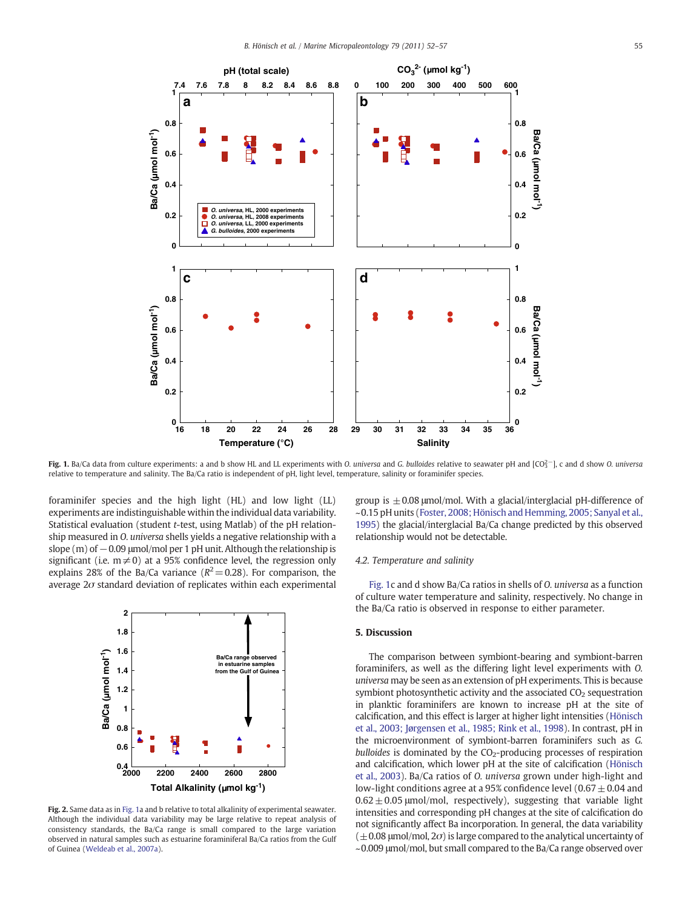<span id="page-3-0"></span>

Fig. 1. Ba/Ca data from culture experiments: a and b show HL and LL experiments with O. universa and G. bulloides relative to seawater pH and [CO $_3^2$ -], c and d show O. universa relative to temperature and salinity. The Ba/Ca ratio is independent of pH, light level, temperature, salinity or foraminifer species.

foraminifer species and the high light (HL) and low light (LL) experiments are indistinguishable within the individual data variability. Statistical evaluation (student t-test, using Matlab) of the pH relationship measured in O. universa shells yields a negative relationship with a slope  $(m)$  of  $-0.09$  µmol/mol per 1 pH unit. Although the relationship is significant (i.e.  $m \neq 0$ ) at a 95% confidence level, the regression only explains 28% of the Ba/Ca variance ( $R^2=0.28$ ). For comparison, the average  $2\sigma$  standard deviation of replicates within each experimental



Fig. 2. Same data as in Fig. 1a and b relative to total alkalinity of experimental seawater. Although the individual data variability may be large relative to repeat analysis of consistency standards, the Ba/Ca range is small compared to the large variation observed in natural samples such as estuarine foraminiferal Ba/Ca ratios from the Gulf of Guinea ([Weldeab et al., 2007a](#page-5-0)).

group is  $\pm$  0.08 µmol/mol. With a glacial/interglacial pH-difference of ~0.15 pH units ([Foster, 2008; Hönisch and Hemming, 2005; Sanyal et al.,](#page-5-0) [1995](#page-5-0)) the glacial/interglacial Ba/Ca change predicted by this observed relationship would not be detectable.

#### 4.2. Temperature and salinity

Fig. 1c and d show Ba/Ca ratios in shells of O. universa as a function of culture water temperature and salinity, respectively. No change in the Ba/Ca ratio is observed in response to either parameter.

#### 5. Discussion

The comparison between symbiont-bearing and symbiont-barren foraminifers, as well as the differing light level experiments with O. universa may be seen as an extension of pH experiments. This is because symbiont photosynthetic activity and the associated  $CO<sub>2</sub>$  sequestration in planktic foraminifers are known to increase pH at the site of calcification, and this effect is larger at higher light intensities ([Hönisch](#page-5-0) [et al., 2003; Jørgensen et al., 1985; Rink et al., 1998](#page-5-0)). In contrast, pH in the microenvironment of symbiont-barren foraminifers such as G. bulloides is dominated by the  $CO_2$ -producing processes of respiration and calcification, which lower pH at the site of calcification ([Hönisch](#page-5-0) [et al., 2003\)](#page-5-0). Ba/Ca ratios of O. universa grown under high-light and low-light conditions agree at a 95% confidence level (0.67 $\pm$  0.04 and  $0.62 \pm 0.05$  µmol/mol, respectively), suggesting that variable light intensities and corresponding pH changes at the site of calcification do not significantly affect Ba incorporation. In general, the data variability  $(\pm 0.08 \text{ \mu}$ mol/mol,  $2\sigma$ ) is large compared to the analytical uncertainty of ~0.009 μmol/mol, but small compared to the Ba/Ca range observed over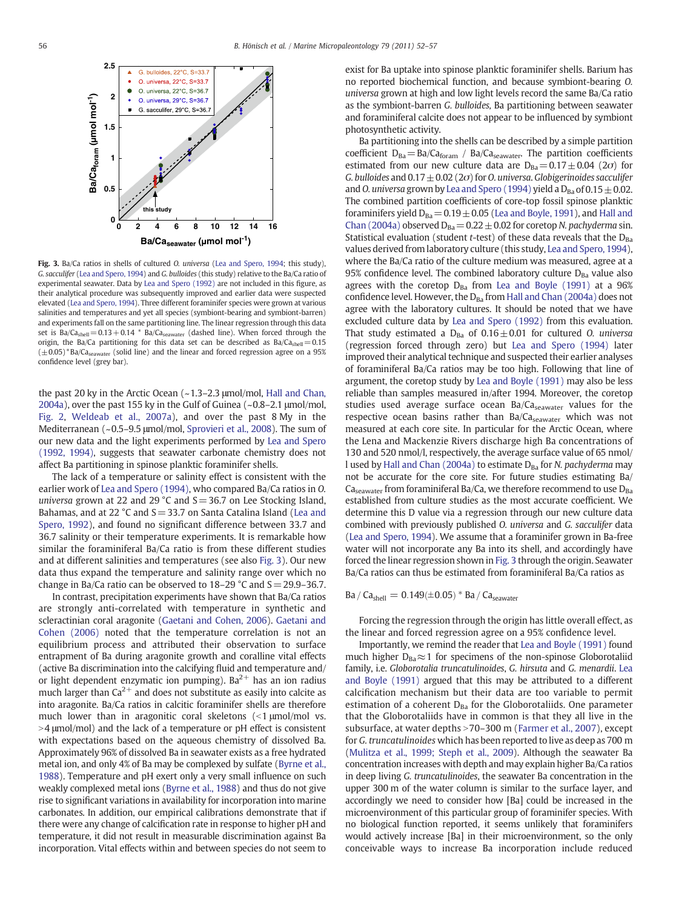

Fig. 3. Ba/Ca ratios in shells of cultured O. universa [\(Lea and Spero, 1994](#page-5-0); this study), G. sacculifer [\(Lea and Spero, 1994](#page-5-0)) and G. bulloides (this study) relative to the Ba/Ca ratio of experimental seawater. Data by [Lea and Spero \(1992\)](#page-5-0) are not included in this figure, as their analytical procedure was subsequently improved and earlier data were suspected elevated [\(Lea and Spero, 1994\)](#page-5-0). Three different foraminifer species were grown at various salinities and temperatures and yet all species (symbiont-bearing and symbiont-barren) and experiments fall on the same partitioning line. The linear regression through this data set is  $Ba/Ca<sub>shell</sub> = 0.13 + 0.14$  \*  $Ba/Ca<sub>seawater</sub>$  (dashed line). When forced through the origin, the Ba/Ca partitioning for this data set can be described as  $Ba/Ca<sub>shell</sub>=0.15$  $(\pm 0.05)^*$ Ba/Ca<sub>seawater</sub> (solid line) and the linear and forced regression agree on a 95% confidence level (grey bar).

the past 20 ky in the Arctic Ocean (~1.3–2.3 μmol/mol, [Hall and Chan,](#page-5-0) [2004a\)](#page-5-0), over the past 155 ky in the Gulf of Guinea (~0.8–2.1 μmol/mol, [Fig. 2,](#page-3-0) [Weldeab et al., 2007a\)](#page-5-0), and over the past 8 My in the Mediterranean (~0.5–9.5 μmol/mol, [Sprovieri et al., 2008](#page-5-0)). The sum of our new data and the light experiments performed by [Lea and Spero](#page-5-0) [\(1992, 1994\),](#page-5-0) suggests that seawater carbonate chemistry does not affect Ba partitioning in spinose planktic foraminifer shells.

The lack of a temperature or salinity effect is consistent with the earlier work of [Lea and Spero \(1994\)](#page-5-0), who compared Ba/Ca ratios in O. universa grown at 22 and 29 °C and  $S = 36.7$  on Lee Stocking Island, Bahamas, and at 22  $^{\circ}$ C and S = 33.7 on Santa Catalina Island ([Lea and](#page-5-0) [Spero, 1992](#page-5-0)), and found no significant difference between 33.7 and 36.7 salinity or their temperature experiments. It is remarkable how similar the foraminiferal Ba/Ca ratio is from these different studies and at different salinities and temperatures (see also Fig. 3). Our new data thus expand the temperature and salinity range over which no change in Ba/Ca ratio can be observed to  $18-29$  °C and  $S = 29.9-36.7$ .

In contrast, precipitation experiments have shown that Ba/Ca ratios are strongly anti-correlated with temperature in synthetic and scleractinian coral aragonite ([Gaetani and Cohen, 2006](#page-5-0)). [Gaetani and](#page-5-0) [Cohen \(2006\)](#page-5-0) noted that the temperature correlation is not an equilibrium process and attributed their observation to surface entrapment of Ba during aragonite growth and coralline vital effects (active Ba discrimination into the calcifying fluid and temperature and/ or light dependent enzymatic ion pumping). Ba<sup>2+</sup> has an ion radius much larger than  $Ca^{2+}$  and does not substitute as easily into calcite as into aragonite. Ba/Ca ratios in calcitic foraminifer shells are therefore much lower than in aragonitic coral skeletons  $\left($  |  $\right)$   $\mu$ mol/mol vs.  $>$ 4  $\mu$ mol/mol) and the lack of a temperature or pH effect is consistent with expectations based on the aqueous chemistry of dissolved Ba. Approximately 96% of dissolved Ba in seawater exists as a free hydrated metal ion, and only 4% of Ba may be complexed by sulfate [\(Byrne et al.,](#page-5-0) [1988\)](#page-5-0). Temperature and pH exert only a very small influence on such weakly complexed metal ions [\(Byrne et al., 1988](#page-5-0)) and thus do not give rise to significant variations in availability for incorporation into marine carbonates. In addition, our empirical calibrations demonstrate that if there were any change of calcification rate in response to higher pH and temperature, it did not result in measurable discrimination against Ba incorporation. Vital effects within and between species do not seem to exist for Ba uptake into spinose planktic foraminifer shells. Barium has no reported biochemical function, and because symbiont-bearing O. universa grown at high and low light levels record the same Ba/Ca ratio as the symbiont-barren G. bulloides, Ba partitioning between seawater and foraminiferal calcite does not appear to be influenced by symbiont photosynthetic activity.

Ba partitioning into the shells can be described by a simple partition coefficient  $D_{Ba} = Ba/Ca_{foram}$  / Ba/Ca<sub>seawater</sub>. The partition coefficients estimated from our new culture data are  $D_{Ba} = 0.17 \pm 0.04$  (2 $\sigma$ ) for G. bulloides and  $0.17 \pm 0.02$  (2 $\sigma$ ) for O. universa. Globigerinoides sacculifer and O. universa grown by [Lea and Spero \(1994\)](#page-5-0) yield a  $D_{Ba}$  of 0.15  $\pm$  0.02. The combined partition coefficients of core-top fossil spinose planktic foraminifers yield  $D_{Ba}=0.19\pm0.05$  [\(Lea and Boyle, 1991\)](#page-5-0), and [Hall and](#page-5-0) [Chan \(2004a\)](#page-5-0) observed  $D_{Ba}=0.22\pm0.02$  for coretop N. pachyderma sin. Statistical evaluation (student *t*-test) of these data reveals that the  $D_{Ba}$ values derived from laboratory culture (this study, [Lea and Spero, 1994\)](#page-5-0), where the Ba/Ca ratio of the culture medium was measured, agree at a 95% confidence level. The combined laboratory culture  $D_{Ba}$  value also agrees with the coretop  $D_{Ba}$  from [Lea and Boyle \(1991\)](#page-5-0) at a 96% confidence level. However, the D<sub>Ba</sub> from [Hall and Chan \(2004a\)](#page-5-0) does not agree with the laboratory cultures. It should be noted that we have excluded culture data by [Lea and Spero \(1992\)](#page-5-0) from this evaluation. That study estimated a  $D_{Ba}$  of  $0.16 \pm 0.01$  for cultured O. universa (regression forced through zero) but [Lea and Spero \(1994\)](#page-5-0) later improved their analytical technique and suspected their earlier analyses of foraminiferal Ba/Ca ratios may be too high. Following that line of argument, the coretop study by [Lea and Boyle \(1991\)](#page-5-0) may also be less reliable than samples measured in/after 1994. Moreover, the coretop studies used average surface ocean Ba/Ca<sub>seawater</sub> values for the respective ocean basins rather than Ba/Ca<sub>seawater</sub> which was not measured at each core site. In particular for the Arctic Ocean, where the Lena and Mackenzie Rivers discharge high Ba concentrations of 130 and 520 nmol/l, respectively, the average surface value of 65 nmol/ l used by [Hall and Chan \(2004a\)](#page-5-0) to estimate  $D_{Ba}$  for N. pachyderma may not be accurate for the core site. For future studies estimating Ba/  $Ca<sub>seawater</sub>$  from foraminiferal Ba/Ca, we therefore recommend to use  $D<sub>Ba</sub>$ established from culture studies as the most accurate coefficient. We determine this D value via a regression through our new culture data combined with previously published O. universa and G. sacculifer data [\(Lea and Spero, 1994\)](#page-5-0). We assume that a foraminifer grown in Ba-free water will not incorporate any Ba into its shell, and accordingly have forced the linear regression shown in Fig. 3 through the origin. Seawater Ba/Ca ratios can thus be estimated from foraminiferal Ba/Ca ratios as

 $Ba / Ca<sub>shell</sub> = 0.149 (\pm 0.05) * Ba / Ca<sub>seawater</sub>$ 

Forcing the regression through the origin has little overall effect, as the linear and forced regression agree on a 95% confidence level.

Importantly, we remind the reader that [Lea and Boyle \(1991\)](#page-5-0) found much higher  $D_{Ba} \approx 1$  for specimens of the non-spinose Globorotaliid family, i.e. Globorotalia truncatulinoides, G. hirsuta and G. menardii. [Lea](#page-5-0) [and Boyle \(1991\)](#page-5-0) argued that this may be attributed to a different calcification mechanism but their data are too variable to permit estimation of a coherent  $D_{Ba}$  for the Globorotaliids. One parameter that the Globorotaliids have in common is that they all live in the subsurface, at water depths > 70–300 m ([Farmer et al., 2007\)](#page-5-0), except for G. truncatulinoides which has been reported to live as deep as 700 m [\(Mulitza et al., 1999; Steph et al., 2009](#page-5-0)). Although the seawater Ba concentration increases with depth and may explain higher Ba/Ca ratios in deep living G. truncatulinoides, the seawater Ba concentration in the upper 300 m of the water column is similar to the surface layer, and accordingly we need to consider how [Ba] could be increased in the microenvironment of this particular group of foraminifer species. With no biological function reported, it seems unlikely that foraminifers would actively increase [Ba] in their microenvironment, so the only conceivable ways to increase Ba incorporation include reduced